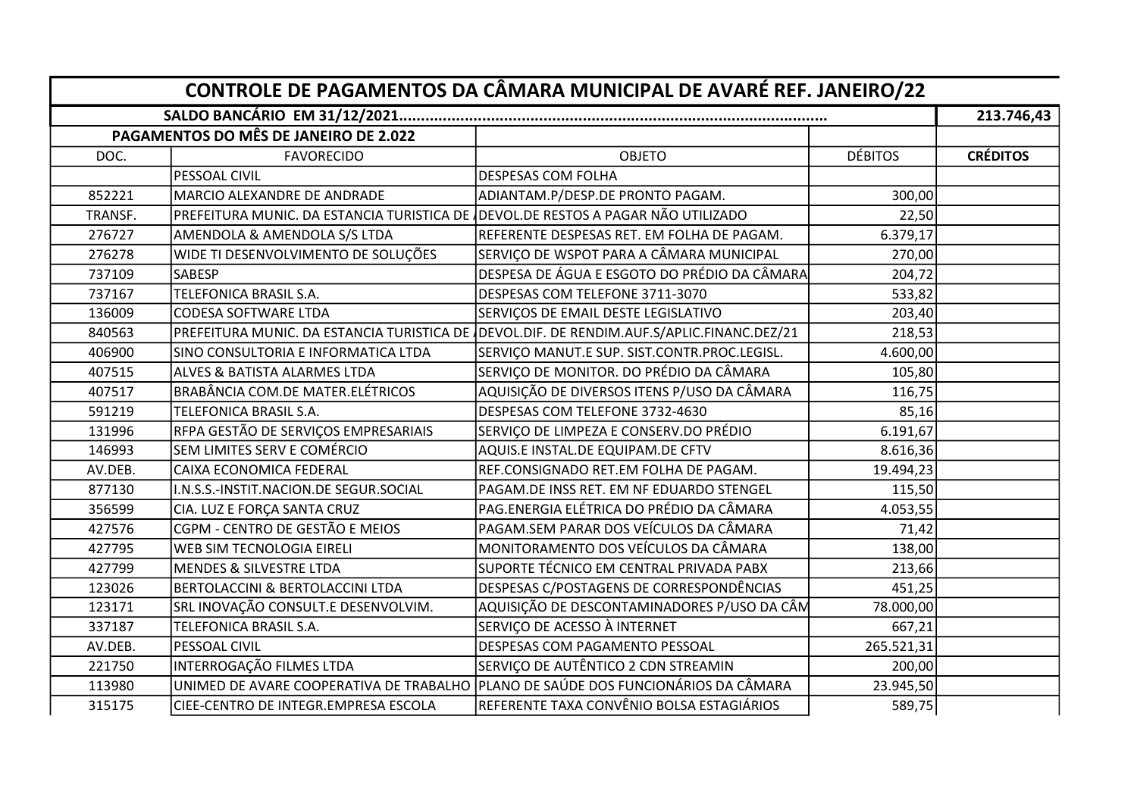| CONTROLE DE PAGAMENTOS DA CÂMARA MUNICIPAL DE AVARÉ REF. JANEIRO/22 |                                                                                  |                                                                                            |                |                 |  |  |  |
|---------------------------------------------------------------------|----------------------------------------------------------------------------------|--------------------------------------------------------------------------------------------|----------------|-----------------|--|--|--|
|                                                                     |                                                                                  |                                                                                            |                |                 |  |  |  |
|                                                                     | PAGAMENTOS DO MÊS DE JANEIRO DE 2.022                                            |                                                                                            |                |                 |  |  |  |
| DOC.                                                                | <b>FAVORECIDO</b>                                                                | <b>OBJETO</b>                                                                              | <b>DÉBITOS</b> | <b>CRÉDITOS</b> |  |  |  |
|                                                                     | PESSOAL CIVIL                                                                    | DESPESAS COM FOLHA                                                                         |                |                 |  |  |  |
| 852221                                                              | MARCIO ALEXANDRE DE ANDRADE                                                      | ADIANTAM.P/DESP.DE PRONTO PAGAM.                                                           | 300,00         |                 |  |  |  |
| TRANSF.                                                             | PREFEITURA MUNIC. DA ESTANCIA TURISTICA DE DEVOL.DE RESTOS A PAGAR NÃO UTILIZADO |                                                                                            | 22,50          |                 |  |  |  |
| 276727                                                              | AMENDOLA & AMENDOLA S/S LTDA                                                     | REFERENTE DESPESAS RET. EM FOLHA DE PAGAM.                                                 | 6.379,17       |                 |  |  |  |
| 276278                                                              | WIDE TI DESENVOLVIMENTO DE SOLUÇÕES                                              | SERVIÇO DE WSPOT PARA A CÂMARA MUNICIPAL                                                   | 270,00         |                 |  |  |  |
| 737109                                                              | <b>SABESP</b>                                                                    | DESPESA DE ÁGUA E ESGOTO DO PRÉDIO DA CÂMARA                                               | 204,72         |                 |  |  |  |
| 737167                                                              | TELEFONICA BRASIL S.A.                                                           | DESPESAS COM TELEFONE 3711-3070                                                            | 533,82         |                 |  |  |  |
| 136009                                                              | <b>CODESA SOFTWARE LTDA</b>                                                      | SERVIÇOS DE EMAIL DESTE LEGISLATIVO                                                        | 203,40         |                 |  |  |  |
| 840563                                                              |                                                                                  | PREFEITURA MUNIC. DA ESTANCIA TURISTICA DE IDEVOL.DIF. DE RENDIM.AUF.S/APLIC.FINANC.DEZ/21 | 218,53         |                 |  |  |  |
| 406900                                                              | SINO CONSULTORIA E INFORMATICA LTDA                                              | SERVIÇO MANUT.E SUP. SIST.CONTR.PROC.LEGISL.                                               | 4.600,00       |                 |  |  |  |
| 407515                                                              | <b>ALVES &amp; BATISTA ALARMES LTDA</b>                                          | SERVIÇO DE MONITOR. DO PRÉDIO DA CÂMARA                                                    | 105,80         |                 |  |  |  |
| 407517                                                              | BRABÂNCIA COM.DE MATER.ELÉTRICOS                                                 | AQUISIÇÃO DE DIVERSOS ITENS P/USO DA CÂMARA                                                | 116,75         |                 |  |  |  |
| 591219                                                              | TELEFONICA BRASIL S.A.                                                           | DESPESAS COM TELEFONE 3732-4630                                                            | 85,16          |                 |  |  |  |
| 131996                                                              | RFPA GESTÃO DE SERVIÇOS EMPRESARIAIS                                             | SERVIÇO DE LIMPEZA E CONSERV.DO PRÉDIO                                                     | 6.191,67       |                 |  |  |  |
| 146993                                                              | SEM LIMITES SERV E COMÉRCIO                                                      | AQUIS.E INSTAL.DE EQUIPAM.DE CFTV                                                          | 8.616,36       |                 |  |  |  |
| AV.DEB.                                                             | CAIXA ECONOMICA FEDERAL                                                          | REF.CONSIGNADO RET.EM FOLHA DE PAGAM.                                                      | 19.494,23      |                 |  |  |  |
| 877130                                                              | I.N.S.S.-INSTIT.NACION.DE SEGUR.SOCIAL                                           | PAGAM.DE INSS RET. EM NF EDUARDO STENGEL                                                   | 115,50         |                 |  |  |  |
| 356599                                                              | CIA. LUZ E FORÇA SANTA CRUZ                                                      | PAG.ENERGIA ELÉTRICA DO PRÉDIO DA CÂMARA                                                   | 4.053,55       |                 |  |  |  |
| 427576                                                              | CGPM - CENTRO DE GESTÃO E MEIOS                                                  | PAGAM.SEM PARAR DOS VEÍCULOS DA CÂMARA                                                     | 71,42          |                 |  |  |  |
| 427795                                                              | WEB SIM TECNOLOGIA EIRELI                                                        | MONITORAMENTO DOS VEÍCULOS DA CÂMARA                                                       | 138,00         |                 |  |  |  |
| 427799                                                              | <b>MENDES &amp; SILVESTRE LTDA</b>                                               | SUPORTE TÉCNICO EM CENTRAL PRIVADA PABX                                                    | 213,66         |                 |  |  |  |
| 123026                                                              | BERTOLACCINI & BERTOLACCINI LTDA                                                 | DESPESAS C/POSTAGENS DE CORRESPONDÊNCIAS                                                   | 451,25         |                 |  |  |  |
| 123171                                                              | SRL INOVAÇÃO CONSULT.E DESENVOLVIM.                                              | AQUISIÇÃO DE DESCONTAMINADORES P/USO DA CÂM                                                | 78.000,00      |                 |  |  |  |
| 337187                                                              | TELEFONICA BRASIL S.A.                                                           | SERVIÇO DE ACESSO À INTERNET                                                               | 667,21         |                 |  |  |  |
| AV.DEB.                                                             | <b>PESSOAL CIVIL</b>                                                             | DESPESAS COM PAGAMENTO PESSOAL                                                             | 265.521,31     |                 |  |  |  |
| 221750                                                              | INTERROGAÇÃO FILMES LTDA                                                         | SERVIÇO DE AUTÊNTICO 2 CDN STREAMIN                                                        | 200,00         |                 |  |  |  |
| 113980                                                              | UNIMED DE AVARE COOPERATIVA DE TRABALHO                                          | PLANO DE SAÚDE DOS FUNCIONÁRIOS DA CÂMARA                                                  | 23.945,50      |                 |  |  |  |
| 315175                                                              | CIEE-CENTRO DE INTEGR.EMPRESA ESCOLA                                             | REFERENTE TAXA CONVÊNIO BOLSA ESTAGIÁRIOS                                                  | 589,75         |                 |  |  |  |